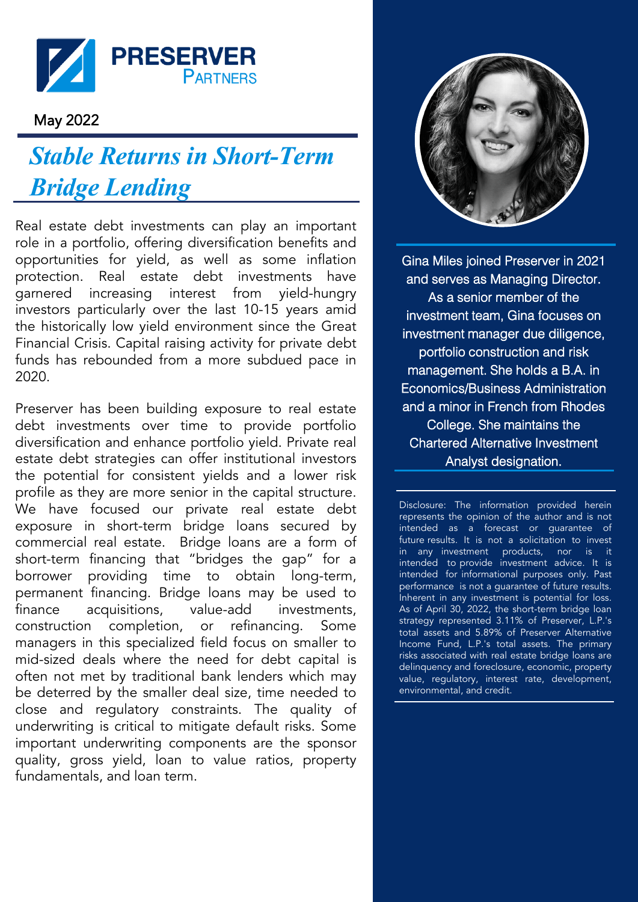

## May 2022

## *Stable Returns in Short-Term Bridge Lending*

Real estate debt investments can play an important role in a portfolio, offering diversification benefits and opportunities for yield, as well as some inflation protection. Real estate debt investments have garnered increasing interest from yield-hungry investors particularly over the last 10-15 years amid the historically low yield environment since the Great Financial Crisis. Capital raising activity for private debt funds has rebounded from a more subdued pace in 2020.

Preserver has been building exposure to real estate debt investments over time to provide portfolio diversification and enhance portfolio yield. Private real estate debt strategies can offer institutional investors the potential for consistent yields and a lower risk profile as they are more senior in the capital structure. We have focused our private real estate debt exposure in short-term bridge loans secured by commercial real estate. Bridge loans are a form of short-term financing that "bridges the gap" for a borrower providing time to obtain long-term, permanent financing. Bridge loans may be used to finance acquisitions, value-add investments, construction completion, or refinancing. Some managers in this specialized field focus on smaller to mid-sized deals where the need for debt capital is often not met by traditional bank lenders which may be deterred by the smaller deal size, time needed to close and regulatory constraints. The quality of underwriting is critical to mitigate default risks. Some important underwriting components are the sponsor quality, gross yield, loan to value ratios, property fundamentals, and loan term.



Gina Miles joined Preserver in 2021 and serves as Managing Director. As a senior member of the investment team, Gina focuses on investment manager due diligence, portfolio construction and risk management. She holds a B.A. in Economics/Business Administration and a minor in French from Rhodes College. She maintains the Chartered Alternative Investment Analyst designation.

Disclosure: The information provided herein represents the opinion of the author and is not intended as a forecast or guarantee of future results. It is not a solicitation to invest in any investment products, nor is it intended to provide investment advice. It is intended for informational purposes only. Past performance is not a guarantee of future results. Inherent in any investment is potential for loss. As of April 30, 2022, the short-term bridge loan strategy represented 3.11% of Preserver, L.P.'s total assets and 5.89% of Preserver Alternative Income Fund, L.P.'s total assets. The primary risks associated with real estate bridge loans are delinquency and foreclosure, economic, property value, regulatory, interest rate, development, environmental, and credit.